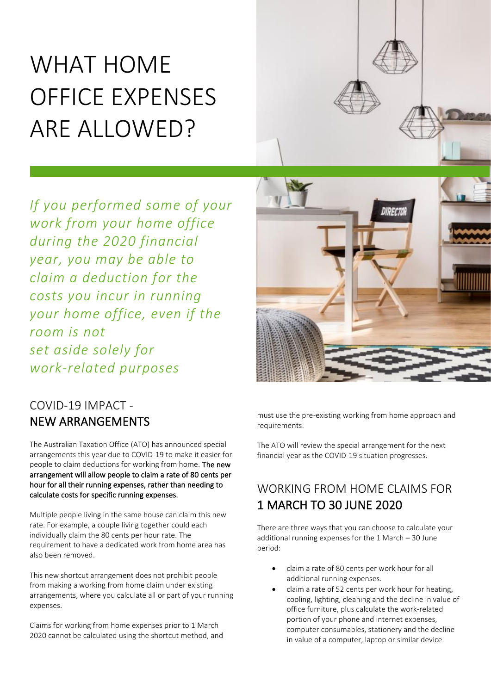# WHAT HOME OFFICE EXPENSES ARE ALLOWED?

*If you performed some of your work from your home office during the 2020 financial year, you may be able to claim a deduction for the costs you incur in running your home office, even if the room is not set aside solely for work-related purposes*

## COVID-19 IMPACT - NEW ARRANGEMENTS

The Australian Taxation Office (ATO) has announced special arrangements this year due to COVID-19 to make it easier for people to claim deductions for working from home. The new arrangement will allow people to claim a rate of 80 cents per hour for all their running expenses, rather than needing to calculate costs for specific running expenses.

Multiple people living in the same house can claim this new rate. For example, a couple living together could each individually claim the 80 cents per hour rate. The requirement to have a dedicated work from home area has also been removed.

This new shortcut arrangement does not prohibit people from making a working from home claim under existing arrangements, where you calculate all or part of your running expenses.

Claims for working from home expenses prior to 1 March 2020 cannot be calculated using the shortcut method, and



must use the pre-existing working from home approach and requirements.

The ATO will review the special arrangement for the next financial year as the COVID-19 situation progresses.

### WORKING FROM HOME CLAIMS FOR 1 MARCH TO 30 JUNE 2020

There are three ways that you can choose to calculate your additional running expenses for the 1 March – 30 June period:

- claim a rate of 80 cents per work hour for all additional running expenses.
- claim a rate of 52 cents per work hour for heating, cooling, lighting, cleaning and the decline in value of office furniture, plus calculate the work-related portion of your phone and internet expenses, computer consumables, stationery and the decline in value of a computer, laptop or similar device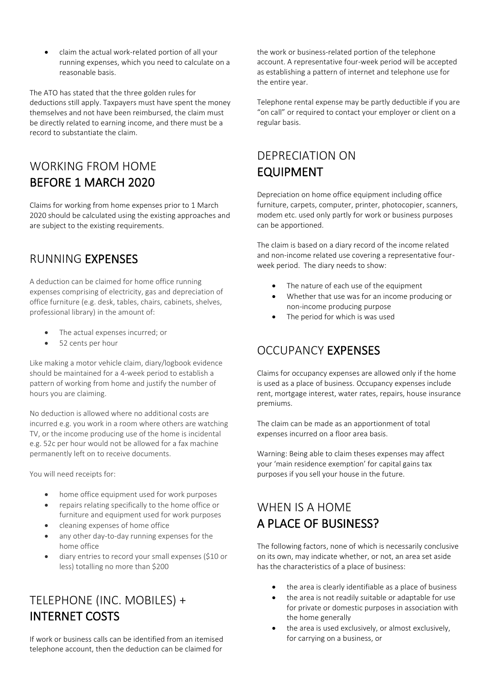• claim the actual work-related portion of all your running expenses, which you need to calculate on a reasonable basis.

The ATO has stated that the three golden rules for deductions still apply. Taxpayers must have spent the money themselves and not have been reimbursed, the claim must be directly related to earning income, and there must be a record to substantiate the claim.

## WORKING FROM HOME BEFORE 1 MARCH 2020

Claims for working from home expenses prior to 1 March 2020 should be calculated using the existing approaches and are subject to the existing requirements.

#### RUNNING EXPENSES

A deduction can be claimed for home office running expenses comprising of electricity, gas and depreciation of office furniture (e.g. desk, tables, chairs, cabinets, shelves, professional library) in the amount of:

- The actual expenses incurred; or
- 52 cents per hour

Like making a motor vehicle claim, diary/logbook evidence should be maintained for a 4-week period to establish a pattern of working from home and justify the number of hours you are claiming.

No deduction is allowed where no additional costs are incurred e.g. you work in a room where others are watching TV, or the income producing use of the home is incidental e.g. 52c per hour would not be allowed for a fax machine permanently left on to receive documents.

You will need receipts for:

- home office equipment used for work purposes
- repairs relating specifically to the home office or furniture and equipment used for work purposes
- cleaning expenses of home office
- any other day-to-day running expenses for the home office
- diary entries to record your small expenses (\$10 or less) totalling no more than \$200

# TELEPHONE (INC. MOBILES) + INTERNET COSTS

If work or business calls can be identified from an itemised telephone account, then the deduction can be claimed for

the work or business-related portion of the telephone account. A representative four-week period will be accepted as establishing a pattern of internet and telephone use for the entire year.

Telephone rental expense may be partly deductible if you are "on call" or required to contact your employer or client on a regular basis.

## DEPRECIATION ON EQUIPMENT

Depreciation on home office equipment including office furniture, carpets, computer, printer, photocopier, scanners, modem etc. used only partly for work or business purposes can be apportioned.

The claim is based on a diary record of the income related and non-income related use covering a representative fourweek period. The diary needs to show:

- The nature of each use of the equipment
- Whether that use was for an income producing or non-income producing purpose
- The period for which is was used

### OCCUPANCY EXPENSES

Claims for occupancy expenses are allowed only if the home is used as a place of business. Occupancy expenses include rent, mortgage interest, water rates, repairs, house insurance premiums.

The claim can be made as an apportionment of total expenses incurred on a floor area basis.

Warning: Being able to claim theses expenses may affect your 'main residence exemption' for capital gains tax purposes if you sell your house in the future.

## WHEN IS A HOME A PLACE OF BUSINESS?

The following factors, none of which is necessarily conclusive on its own, may indicate whether, or not, an area set aside has the characteristics of a place of business:

- the area is clearly identifiable as a place of business
- the area is not readily suitable or adaptable for use for private or domestic purposes in association with the home generally
- the area is used exclusively, or almost exclusively, for carrying on a business, or